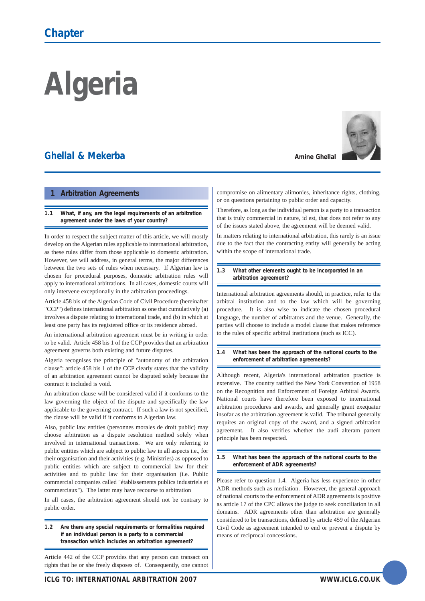# **Algeria**

# **Ghellal & Mekerba**

# **1 Arbitration Agreements**

**1.1 What, if any, are the legal requirements of an arbitration agreement under the laws of your country?**

In order to respect the subject matter of this article, we will mostly develop on the Algerian rules applicable to international arbitration, as these rules differ from those applicable to domestic arbitration. However, we will address, in general terms, the major differences between the two sets of rules when necessary. If Algerian law is chosen for procedural purposes, domestic arbitration rules will apply to international arbitrations. In all cases, domestic courts will only intervene exceptionally in the arbitration proceedings.

Article 458 bis of the Algerian Code of Civil Procedure (hereinafter "CCP") defines international arbitration as one that cumulatively (a) involves a dispute relating to international trade, and (b) in which at least one party has its registered office or its residence abroad.

An international arbitration agreement must be in writing in order to be valid. Article 458 bis 1 of the CCP provides that an arbitration agreement governs both existing and future disputes.

Algeria recognises the principle of "autonomy of the arbitration clause": article 458 bis 1 of the CCP clearly states that the validity of an arbitration agreement cannot be disputed solely because the contract it included is void.

An arbitration clause will be considered valid if it conforms to the law governing the object of the dispute and specifically the law applicable to the governing contract. If such a law is not specified, the clause will be valid if it conforms to Algerian law.

Also, public law entities (personnes morales de droit public) may choose arbitration as a dispute resolution method solely when involved in international transactions. We are only referring to public entities which are subject to public law in all aspects i.e., for their organisation and their activities (e.g. Ministries) as opposed to public entities which are subject to commercial law for their activities and to public law for their organisation (i.e. Public commercial companies called "établissements publics industriels et commerciaux"). The latter may have recourse to arbitration

In all cases, the arbitration agreement should not be contrary to public order.

**1.2 Are there any special requirements or formalities required if an individual person is a party to a commercial transaction which includes an arbitration agreement?**

Article 442 of the CCP provides that any person can transact on rights that he or she freely disposes of. Consequently, one cannot





compromise on alimentary alimonies, inheritance rights, clothing, or on questions pertaining to public order and capacity.

Therefore, as long as the individual person is a party to a transaction that is truly commercial in nature, id est, that does not refer to any of the issues stated above, the agreement will be deemed valid.

In matters relating to international arbitration, this rarely is an issue due to the fact that the contracting entity will generally be acting within the scope of international trade.

#### **1.3 What other elements ought to be incorporated in an arbitration agreement?**

International arbitration agreements should, in practice, refer to the arbitral institution and to the law which will be governing procedure. It is also wise to indicate the chosen procedural language, the number of arbitrators and the venue. Generally, the parties will choose to include a model clause that makes reference to the rules of specific arbitral institutions (such as ICC).

#### **1.4 What has been the approach of the national courts to the enforcement of arbitration agreements?**

Although recent, Algeria's international arbitration practice is extensive. The country ratified the New York Convention of 1958 on the Recognition and Enforcement of Foreign Arbitral Awards. National courts have therefore been exposed to international arbitration procedures and awards, and generally grant exequatur insofar as the arbitration agreement is valid. The tribunal generally requires an original copy of the award, and a signed arbitration agreement. It also verifies whether the audi alteram partem principle has been respected.

#### **1.5 What has been the approach of the national courts to the enforcement of ADR agreements?**

Please refer to question 1.4. Algeria has less experience in other ADR methods such as mediation. However, the general approach of national courts to the enforcement of ADR agreements is positive as article 17 of the CPC allows the judge to seek conciliation in all domains. ADR agreements other than arbitration are generally considered to be transactions, defined by article 459 of the Algerian Civil Code as agreement intended to end or prevent a dispute by means of reciprocal concessions.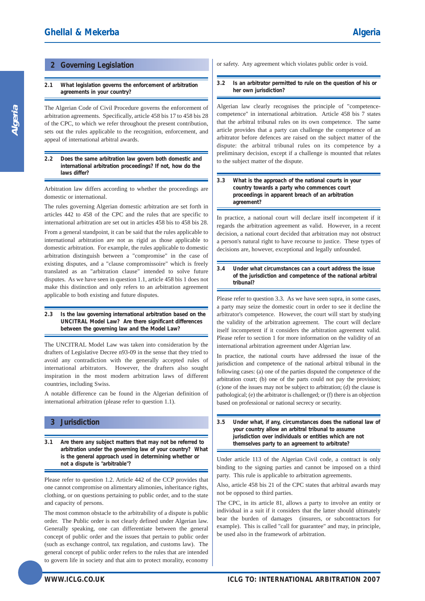# **2 Governing Legislation**

#### **2.1 What legislation governs the enforcement of arbitration agreements in your country?**

The Algerian Code of Civil Procedure governs the enforcement of arbitration agreements. Specifically, article 458 bis 17 to 458 bis 28 of the CPC, to which we refer throughout the present contribution, sets out the rules applicable to the recognition, enforcement, and appeal of international arbitral awards.

#### **2.2 Does the same arbitration law govern both domestic and international arbitration proceedings? If not, how do the laws differ?**

Arbitration law differs according to whether the proceedings are domestic or international.

The rules governing Algerian domestic arbitration are set forth in articles 442 to 458 of the CPC and the rules that are specific to international arbitration are set out in articles 458 bis to 458 bis 28.

From a general standpoint, it can be said that the rules applicable to international arbitration are not as rigid as those applicable to domestic arbitration. For example, the rules applicable to domestic arbitration distinguish between a "compromise" in the case of existing disputes, and a "clause compromissoire" which is freely translated as an "arbitration clause" intended to solve future disputes. As we have seen in question 1.1, article 458 bis 1 does not make this distinction and only refers to an arbitration agreement applicable to both existing and future disputes.

#### **2.3 Is the law governing international arbitration based on the UNCITRAL Model Law? Are there significant differences between the governing law and the Model Law?**

The UNCITRAL Model Law was taken into consideration by the drafters of Legislative Decree n93-09 in the sense that they tried to avoid any contradiction with the generally accepted rules of international arbitrators. However, the drafters also sought inspiration in the most modern arbitration laws of different countries, including Swiss.

A notable difference can be found in the Algerian definition of international arbitration (please refer to question 1.1).

# **3 Jurisdiction**

**3.1 Are there any subject matters that may not be referred to arbitration under the governing law of your country? What is the general approach used in determining whether or not a dispute is "arbitrable"?**

Please refer to question 1.2. Article 442 of the CCP provides that one cannot compromise on alimentary alimonies, inheritance rights, clothing, or on questions pertaining to public order, and to the state and capacity of persons.

The most common obstacle to the arbitrability of a dispute is public order. The Public order is not clearly defined under Algerian law. Generally speaking, one can differentiate between the general concept of public order and the issues that pertain to public order (such as exchange control, tax regulation, and customs law). The general concept of public order refers to the rules that are intended to govern life in society and that aim to protect morality, economy

#### **3.2 Is an arbitrator permitted to rule on the question of his or her own jurisdiction?**

Algerian law clearly recognises the principle of "competencecompetence" in international arbitration. Article 458 bis 7 states that the arbitral tribunal rules on its own competence. The same article provides that a party can challenge the competence of an arbitrator before defences are raised on the subject matter of the dispute: the arbitral tribunal rules on its competence by a preliminary decision, except if a challenge is mounted that relates to the subject matter of the dispute.

#### **3.3 What is the approach of the national courts in your country towards a party who commences court proceedings in apparent breach of an arbitration agreement?**

In practice, a national court will declare itself incompetent if it regards the arbitration agreement as valid. However, in a recent decision, a national court decided that arbitration may not obstruct a person's natural right to have recourse to justice. These types of decisions are, however, exceptional and legally unfounded.

#### **3.4 Under what circumstances can a court address the issue of the jurisdiction and competence of the national arbitral tribunal?**

Please refer to question 3.3. As we have seen supra, in some cases, a party may seize the domestic court in order to see it decline the arbitrator's competence. However, the court will start by studying the validity of the arbitration agreement. The court will declare itself incompetent if it considers the arbitration agreement valid. Please refer to section 1 for more information on the validity of an international arbitration agreement under Algerian law.

In practice, the national courts have addressed the issue of the jurisdiction and competence of the national arbitral tribunal in the following cases: (a) one of the parties disputed the competence of the arbitration court; (b) one of the parts could not pay the provision; (c)one of the issues may not be subject to arbitration; (d) the clause is pathological; (e) the arbitrator is challenged; or (f) there is an objection based on professional or national secrecy or security.

Under article 113 of the Algerian Civil code, a contract is only binding to the signing parties and cannot be imposed on a third party. This rule is applicable to arbitration agreements.

Also, article 458 bis 21 of the CPC states that arbitral awards may not be opposed to third parties.

The CPC, in its article 81, allows a party to involve an entity or individual in a suit if it considers that the latter should ultimately bear the burden of damages (insurers, or subcontractors for example). This is called "call for guarantee" and may, in principle, be used also in the framework of arbitration.

**<sup>3.5</sup> Under what, if any, circumstances does the national law of your country allow an arbitral tribunal to assume jurisdiction over individuals or entities which are not themselves party to an agreement to arbitrate?**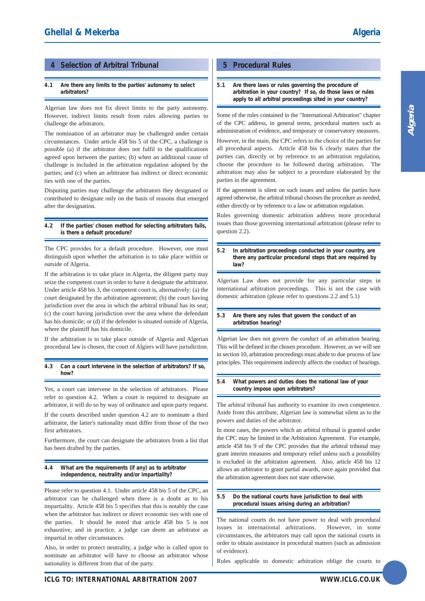# **4 Selection of Arbitral Tribunal**

#### **4.1 Are there any limits to the parties' autonomy to select arbitrators?**

Algerian law does not fix direct limits to the party autonomy. However, indirect limits result from rules allowing parties to challenge the arbitrators.

The nomination of an arbitrator may be challenged under certain circumstances. Under article 458 bis 5 of the CPC, a challenge is possible (a) if the arbitrator does not fulfil to the qualifications agreed upon between the parties; (b) when an additional cause of challenge is included in the arbitration regulation adopted by the parties; and (c) when an arbitrator has indirect or direct economic ties with one of the parties.

Disputing parties may challenge the arbitrators they designated or contributed to designate only on the basis of reasons that emerged after the designation.

**4.2 If the parties' chosen method for selecting arbitrators fails, is there a default procedure?**

The CPC provides for a default procedure. However, one must distinguish upon whether the arbitration is to take place within or outside of Algeria.

If the arbitration is to take place in Algeria, the diligent party may seize the competent court in order to have it designate the arbitrator. Under article 458 bis 3, the competent court is, alternatively: (a) the court designated by the arbitration agreement; (b) the court having jurisdiction over the area in which the arbitral tribunal has its seat; (c) the court having jurisdiction over the area where the defendant has his domicile; or (d) if the defender is situated outside of Algeria, where the plaintiff has his domicile.

If the arbitration is to take place outside of Algeria and Algerian procedural law is chosen, the court of Algiers will have jurisdiction.

**4.3 Can a court intervene in the selection of arbitrators? If so, how?**

Yes, a court can intervene in the selection of arbitrators. Please refer to question 4.2. When a court is required to designate an arbitrator, it will do so by way of ordinance and upon party request. If the courts described under question 4.2 are to nominate a third arbitrator, the latter's nationality must differ from those of the two first arbitrators.

Furthermore, the court can designate the arbitrators from a list that has been drafted by the parties.

#### **4.4 What are the requirements (if any) as to arbitrator independence, neutrality and/or impartiality?**

Please refer to question 4.1. Under article 458 bis 5 of the CPC, an arbitrator can be challenged when there is a doubt as to his impartiality. Article 458 bis 5 specifies that this is notably the case when the arbitrator has indirect or direct economic ties with one of the parties. It should be noted that article 458 bis 5 is not exhaustive, and in practice, a judge can deem an arbitrator as impartial in other circumstances.

Also, in order to protect neutrality, a judge who is called upon to nominate an arbitrator will have to choose an arbitrator whose nationality is different from that of the party.

# **5 Procedural Rules**

**5.1 Are there laws or rules governing the procedure of arbitration in your country? If so, do those laws or rules apply to all arbitral proceedings sited in your country?**

Some of the rules contained in the "International Arbitration" chapter of the CPC address, in general terms, procedural matters such as administration of evidence, and temporary or conservatory measures.

However, in the main, the CPC refers to the choice of the parties for all procedural aspects. Article 458 bis 6 clearly states that the parties can, directly or by reference to an arbitration regulation, choose the procedure to be followed during arbitration. The arbitration may also be subject to a procedure elaborated by the parties in the agreement.

If the agreement is silent on such issues and unless the parties have agreed otherwise, the arbitral tribunal chooses the procedure as needed, either directly or by reference to a law or arbitration regulation.

Rules governing domestic arbitration address more procedural issues than those governing international arbitration (please refer to question 2.2).

**5.2 In arbitration proceedings conducted in your country, are there any particular procedural steps that are required by law?**

Algerian Law does not provide for any particular steps in international arbitration proceedings. This is not the case with domestic arbitration (please refer to questions 2.2 and 5.1)

#### **5.3 Are there any rules that govern the conduct of an arbitration hearing?**

Algerian law does not govern the conduct of an arbitration hearing. This will be defined in the chosen procedure. However, as we will see in section 10, arbitration proceedings must abide to due process of law principles. This requirement indirectly affects the conduct of hearings.

#### **5.4 What powers and duties does the national law of your country impose upon arbitrators?**

The arbitral tribunal has authority to examine its own competence. Aside from this attribute, Algerian law is somewhat silent as to the powers and duties of the arbitrator.

In most cases, the powers which an arbitral tribunal is granted under the CPC may be limited in the Arbitration Agreement. For example, article 458 bis 9 of the CPC provides that the arbitral tribunal may grant interim measures and temporary relief unless such a possibility is excluded in the arbitration agreement. Also, article 458 bis 12 allows an arbitrator to grant partial awards, once again provided that the arbitration agreement does not state otherwise.

#### **5.5 Do the national courts have jurisdiction to deal with procedural issues arising during an arbitration?**

The national courts do not have power to deal with procedural issues in international arbitrations. However, in some circumstances, the arbitrators may call upon the national courts in order to obtain assistance in procedural matters (such as admission of evidence).

Rules applicable to domestic arbitration oblige the courts to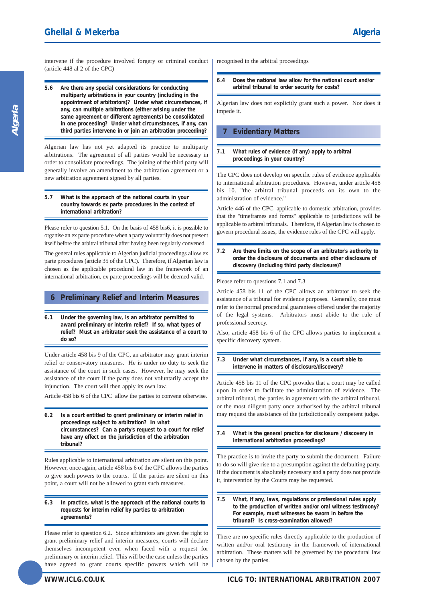intervene if the procedure involved forgery or criminal conduct (article 448 al 2 of the CPC)

**5.6 Are there any special considerations for conducting multiparty arbitrations in your country (including in the appointment of arbitrators)? Under what circumstances, if any, can multiple arbitrations (either arising under the same agreement or different agreements) be consolidated in one proceeding? Under what circumstances, if any, can third parties intervene in or join an arbitration proceeding?** 

Algerian law has not yet adapted its practice to multiparty arbitrations. The agreement of all parties would be necessary in order to consolidate proceedings. The joining of the third party will generally involve an amendment to the arbitration agreement or a new arbitration agreement signed by all parties.

#### **5.7 What is the approach of the national courts in your country towards ex parte procedures in the context of international arbitration?**

Please refer to question 5.1. On the basis of 458 bis6, it is possible to organise an ex parte procedure when a party voluntarily does not present itself before the arbitral tribunal after having been regularly convened.

The general rules applicable to Algerian judicial proceedings allow ex parte procedures (article 35 of the CPC). Therefore, if Algerian law is chosen as the applicable procedural law in the framework of an international arbitration, ex parte proceedings will be deemed valid.

# **6 Preliminary Relief and Interim Measures**

**6.1 Under the governing law, is an arbitrator permitted to award preliminary or interim relief? If so, what types of relief? Must an arbitrator seek the assistance of a court to do so?**

Under article 458 bis 9 of the CPC, an arbitrator may grant interim relief or conservatory measures. He is under no duty to seek the assistance of the court in such cases. However, he may seek the assistance of the court if the party does not voluntarily accept the injunction. The court will then apply its own law.

Article 458 bis 6 of the CPC allow the parties to convene otherwise.

**6.2 Is a court entitled to grant preliminary or interim relief in proceedings subject to arbitration? In what circumstances? Can a party's request to a court for relief have any effect on the jurisdiction of the arbitration tribunal?**

Rules applicable to international arbitration are silent on this point. However, once again, article 458 bis 6 of the CPC allows the parties to give such powers to the courts. If the parties are silent on this point, a court will not be allowed to grant such measures.

#### **6.3 In practice, what is the approach of the national courts to requests for interim relief by parties to arbitration agreements?**

Please refer to question 6.2. Since arbitrators are given the right to grant preliminary relief and interim measures, courts will declare themselves incompetent even when faced with a request for preliminary or interim relief. This will be the case unless the parties have agreed to grant courts specific powers which will be

**6.4 Does the national law allow for the national court and/or arbitral tribunal to order security for costs?**

Algerian law does not explicitly grant such a power. Nor does it impede it.

# **7 Evidentiary Matters**

#### **7.1 What rules of evidence (if any) apply to arbitral proceedings in your country?**

The CPC does not develop on specific rules of evidence applicable to international arbitration procedures. However, under article 458 bis 10. "the arbitral tribunal proceeds on its own to the administration of evidence."

Article 446 of the CPC, applicable to domestic arbitration, provides that the "timeframes and forms" applicable to jurisdictions will be applicable to arbitral tribunals. Therefore, if Algerian law is chosen to govern procedural issues, the evidence rules of the CPC will apply.

**7.2 Are there limits on the scope of an arbitrator's authority to order the disclosure of documents and other disclosure of discovery (including third party disclosure)?**

#### Please refer to questions 7.1 and 7.3

Article 458 bis 11 of the CPC allows an arbitrator to seek the assistance of a tribunal for evidence purposes. Generally, one must refer to the normal procedural guarantees offered under the majority of the legal systems. Arbitrators must abide to the rule of professional secrecy.

Also, article 458 bis 6 of the CPC allows parties to implement a specific discovery system.

#### **7.3 Under what circumstances, if any, is a court able to intervene in matters of disclosure/discovery?**

Article 458 bis 11 of the CPC provides that a court may be called upon in order to facilitate the administration of evidence. The arbitral tribunal, the parties in agreement with the arbitral tribunal, or the most diligent party once authorised by the arbitral tribunal may request the assistance of the jurisdictionally competent judge.

**7.4 What is the general practice for disclosure / discovery in international arbitration proceedings?**

The practice is to invite the party to submit the document. Failure to do so will give rise to a presumption against the defaulting party. If the document is absolutely necessary and a party does not provide it, intervention by the Courts may be requested.

**7.5 What, if any, laws, regulations or professional rules apply to the production of written and/or oral witness testimony? For example, must witnesses be sworn in before the tribunal? Is cross-examination allowed?**

There are no specific rules directly applicable to the production of written and/or oral testimony in the framework of international arbitration. These matters will be governed by the procedural law chosen by the parties.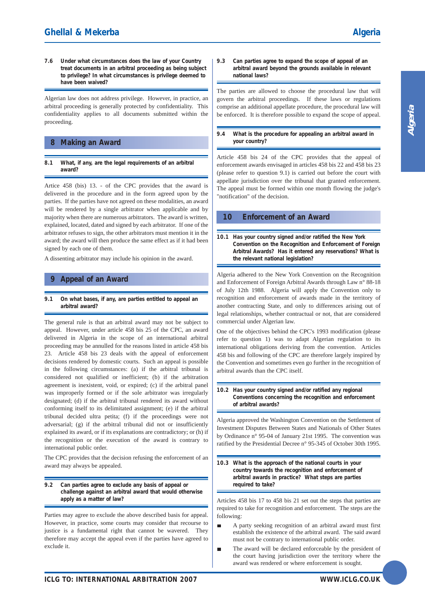**7.6 Under what circumstances does the law of your Country treat documents in an arbitral proceeding as being subject to privilege? In what circumstances is privilege deemed to have been waived?**

Algerian law does not address privilege. However, in practice, an arbitral proceeding is generally protected by confidentiality. This confidentiality applies to all documents submitted within the proceeding.

### **8 Making an Award**

**8.1 What, if any, are the legal requirements of an arbitral award?**

Artice 458 (bis) 13. - of the CPC provides that the award is delivered in the procedure and in the form agreed upon by the parties. If the parties have not agreed on these modalities, an award will be rendered by a single arbitrator when applicable and by majority when there are numerous arbitrators. The award is written, explained, located, dated and signed by each arbitrator. If one of the arbitrator refuses to sign, the other arbitrators must mention it in the award; the award will then produce the same effect as if it had been signed by each one of them.

A dissenting arbitrator may include his opinion in the award.

#### **9 Appeal of an Award**

**9.1 On what bases, if any, are parties entitled to appeal an arbitral award?**

The general rule is that an arbitral award may not be subject to appeal. However, under article 458 bis 25 of the CPC, an award delivered in Algeria in the scope of an international arbitral proceeding may be annulled for the reasons listed in article 458 bis 23. Article 458 bis 23 deals with the appeal of enforcement decisions rendered by domestic courts. Such an appeal is possible in the following circumstances: (a) if the arbitral tribunal is considered not qualified or inefficient; (b) if the arbitration agreement is inexistent, void, or expired; (c) if the arbitral panel was improperly formed or if the sole arbitrator was irregularly designated; (d) if the arbitral tribunal rendered its award without conforming itself to its delimitated assignment; (e) if the arbitral tribunal decided ultra petita; (f) if the proceedings were not adversarial; (g) if the arbitral tribunal did not or insufficiently explained its award, or if its explanations are contradictory; or (h) if the recognition or the execution of the award is contrary to international public order.

The CPC provides that the decision refusing the enforcement of an award may always be appealed.

#### **9.2 Can parties agree to exclude any basis of appeal or challenge against an arbitral award that would otherwise apply as a matter of law?**

Parties may agree to exclude the above described basis for appeal. However, in practice, some courts may consider that recourse to justice is a fundamental right that cannot be wavered. They therefore may accept the appeal even if the parties have agreed to exclude it.

#### **9.3 Can parties agree to expand the scope of appeal of an arbitral award beyond the grounds available in relevant national laws?**

The parties are allowed to choose the procedural law that will govern the arbitral proceedings. If these laws or regulations comprise an additional appellate procedure, the procedural law will be enforced. It is therefore possible to expand the scope of appeal.

**9.4 What is the procedure for appealing an arbitral award in your country?**

Article 458 bis 24 of the CPC provides that the appeal of enforcement awards envisaged in articles 458 bis 22 and 458 bis 23 (please refer to question 9.1) is carried out before the court with appellate jurisdiction over the tribunal that granted enforcement. The appeal must be formed within one month flowing the judge's "notification" of the decision.

# **10 Enforcement of an Award**

**10.1 Has your country signed and/or ratified the New York Convention on the Recognition and Enforcement of Foreign Arbitral Awards? Has it entered any reservations? What is the relevant national legislation?**

Algeria adhered to the New York Convention on the Recognition and Enforcement of Foreign Arbitral Awards through Law n° 88-18 of July 12th 1988. Algeria will apply the Convention only to recognition and enforcement of awards made in the territory of another contracting State, and only to differences arising out of legal relationships, whether contractual or not, that are considered commercial under Algerian law.

One of the objectives behind the CPC's 1993 modification (please refer to question 1) was to adapt Algerian regulation to its international obligations deriving from the convention. Articles 458 bis and following of the CPC are therefore largely inspired by the Convention and sometimes even go further in the recognition of arbitral awards than the CPC itself.

**10.2 Has your country signed and/or ratified any regional Conventions concerning the recognition and enforcement of arbitral awards?**

Algeria approved the Washington Convention on the Settlement of Investment Disputes Between States and Nationals of Other States by Ordinance n° 95-04 of January 21st 1995. The convention was ratified by the Presidential Decree n° 95-345 of October 30th 1995.

**10.3 What is the approach of the national courts in your country towards the recognition and enforcement of arbitral awards in practice? What steps are parties required to take?**

Articles 458 bis 17 to 458 bis 21 set out the steps that parties are required to take for recognition and enforcement. The steps are the following:

- ÷ A party seeking recognition of an arbitral award must first establish the existence of the arbitral award. The said award must not be contrary to international public order.
- The award will be declared enforceable by the president of the court having jurisdiction over the territory where the award was rendered or where enforcement is sought.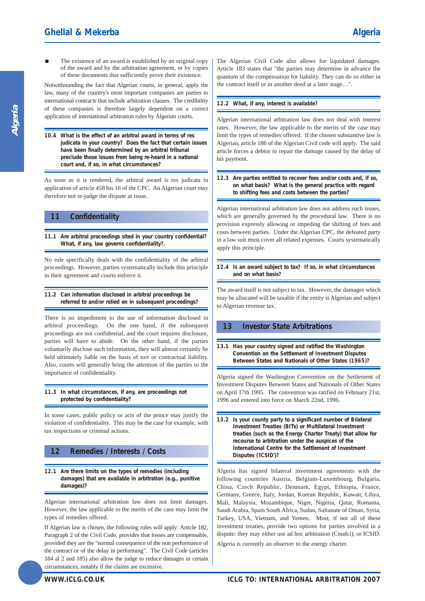The existence of an award is established by an original copy of the award and by the arbitration agreement, or by copies of these documents that sufficiently prove their existence.

Notwithstanding the fact that Algerian courts, in general, apply the law, many of the country's most important companies are parties to international contracts that include arbitration clauses. The credibility of these companies is therefore largely dependent on a correct application of international arbitration rules by Algerian courts.

**10.4 What is the effect of an arbitral award in terms of res judicata in your country? Does the fact that certain issues have been finally determined by an arbitral tribunal preclude those issues from being re-heard in a national court and, if so, in what circumstances?**

As soon as it is rendered, the arbitral award is res judicata in application of article 458 bis 16 of the CPC. An Algerian court may therefore not re-judge the dispute at issue.

# **11 Confidentiality**

**11.1 Are arbitral proceedings sited in your country confidential? What, if any, law governs confidentiality?.** 

No rule specifically deals with the confidentiality of the arbitral proceedings. However, parties systematically include this principle in their agreement and courts enforce it.

#### **11.2 Can information disclosed in arbitral proceedings be referred to and/or relied on in subsequent proceedings?**

There is no impediment to the use of information disclosed in arbitral proceedings. On the one hand, if the subsequent proceedings are not confidential, and the court requires disclosure, parties will have to abide. On the other hand, if the parties voluntarily disclose such information, they will almost certainly be held ultimately liable on the basis of tort or contractual liability. Also, courts will generally bring the attention of the parties to the importance of confidentiality.

**11.3 In what circumstances, if any, are proceedings not protected by confidentiality?**

In some cases, public policy or acts of the prince may justify the violation of confidentiality. This may be the case for example, with tax inspections or criminal actions.

# **12 Remedies / Interests / Costs**

**12.1 Are there limits on the types of remedies (including damages) that are available in arbitration (e.g., punitive damages)?**

Algerian international arbitration law does not limit damages. However, the law applicable to the merits of the case may limit the types of remedies offered.

If Algerian law is chosen, the following rules will apply: Article 182, Paragraph 2 of the Civil Code, provides that losses are compensable, provided they are the "normal consequence of the non performance of the contract or of the delay in performing". The Civil Code (articles 184 al 2 and 185) also allow the judge to reduce damages in certain circumstances, notably if the claims are excessive.

The Algerian Civil Code also allows for liquidated damages. Article 183 states that "the parties may determine in advance the quantum of the compensation for liability. They can do so either in the contract itself or in another deed at a later stage…".

#### **12.2 What, if any, interest is available?**

Algerian international arbitration law does not deal with interest rates. However, the law applicable to the merits of the case may limit the types of remedies offered. If the chosen substantive law is Algerian, article 186 of the Algerian Civil code will apply. The said article forces a debtor to repair the damage caused by the delay of his payment.

#### **12.3 Are parties entitled to recover fees and/or costs and, if so, on what basis? What is the general practice with regard to shifting fees and costs between the parties?**

Algerian international arbitration law does not address such issues, which are generally governed by the procedural law. There is no provision expressly allowing or impeding the shifting of fees and costs between parties. Under the Algerian CPC, the defeated party in a law suit must cover all related expenses. Courts systematically apply this principle.

**12.4 Is an award subject to tax? If so, in what circumstances and on what basis?**

The award itself is not subject to tax. However, the damages which may be allocated will be taxable if the entity is Algerian and subject to Algerian revenue tax.

# **13 Investor State Arbitrations**

**13.1 Has your country signed and ratified the Washington Convention on the Settlement of Investment Disputes Between States and Nationals of Other States (1965)?**

Algeria signed the Washington Convention on the Settlement of Investment Disputes Between States and Nationals of Other States on April 17th 1995. The convention was ratified on February 21st, 1996 and entered into force on March 22nd, 1996.

**13.2 Is your county party to a significant number of Bilateral Investment Treaties (BITs) or Multilateral Investment treaties (such as the Energy Charter Treaty) that allow for recourse to arbitration under the auspices of the International Centre for the Settlement of Investment Disputes ('ICSID')?**

Algeria has signed bilateral investment agreements with the following countries Austria, Belgium-Luxembourg, Bulgaria, China, Czech Republic, Denmark, Egypt, Ethiopia, France, Germany, Greece, Italy, Jordan, Korean Republic, Kuwait, Libya, Mali, Malaysia, Mozambique, Niger, Nigeria, Qatar, Romania, Saudi Arabia, Spain South Africa, Sudan, Sultanate of Oman, Syria, Turkey, USA, Vietnam, and Yemen. Most, if not all of these investment treaties, provide two options for parties involved in a dispute: they may either use ad hoc arbitration (Cnudci), or ICSID. Algeria is currently an observer to the energy charter.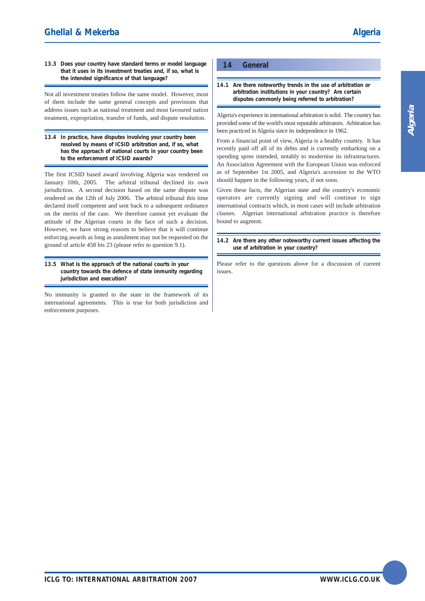#### **13.3 Does your country have standard terms or model language that it uses in its investment treaties and, if so, what is the intended significance of that language?**

Not all investment treaties follow the same model. However, most of them include the same general concepts and provisions that address issues such as national treatment and most favoured nation treatment, expropriation, transfer of funds, and dispute resolution.

**13.4 In practice, have disputes involving your country been resolved by means of ICSID arbitration and, if so, what has the approach of national courts in your country been to the enforcement of ICSID awards?**

The first ICSID based award involving Algeria was rendered on January 10th, 2005. The arbitral tribunal declined its own jurisdiction. A second decision based on the same dispute was rendered on the 12th of July 2006. The arbitral tribunal this time declared itself competent and sent back to a subsequent ordinance on the merits of the case. We therefore cannot yet evaluate the attitude of the Algerian courts in the face of such a decision. However, we have strong reasons to believe that it will continue enforcing awards as long as annulment may not be requested on the ground of article 458 bis 23 (please refer to question 9.1).

#### **13.5 What is the approach of the national courts in your country towards the defence of state immunity regarding jurisdiction and execution?**

No immunity is granted to the state in the framework of its international agreements. This is true for both jurisdiction and enforcement purposes.

# **14 General**

**14.1 Are there noteworthy trends in the use of arbitration or arbitration institutions in your country? Are certain disputes commonly being referred to arbitration?**

Algeria's experience in international arbitration is solid. The country has provided some of the world's most reputable arbitrators. Arbitration has been practiced in Algeria since its independence in 1962.

From a financial point of view, Algeria is a healthy country. It has recently paid off all of its debts and is currently embarking on a spending spree intended, notably to modernise its infrastructures. An Association Agreement with the European Union was enforced as of September 1st 2005, and Algeria's accession to the WTO should happen in the following years, if not soon.

Given these facts, the Algerian state and the country's economic operators are currently signing and will continue to sign international contracts which, in most cases will include arbitration clauses. Algerian international arbitration practice is therefore bound to augment.

**14.2 Are there any other noteworthy current issues affecting the use of arbitration in your country?**

Please refer to the questions above for a discussion of current issues.